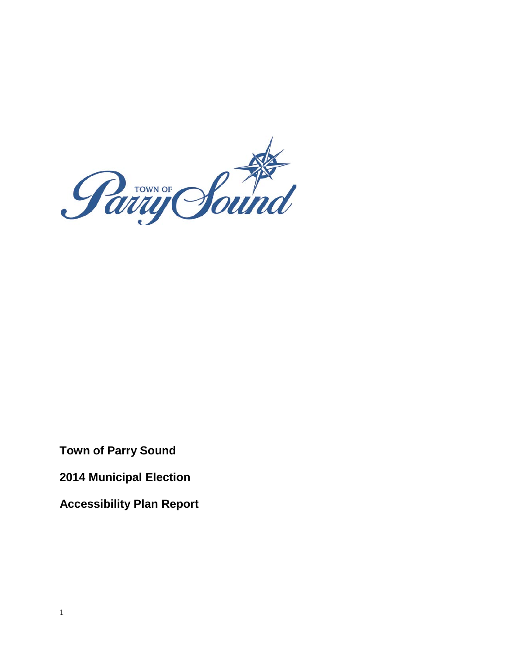

**Town of Parry Sound** 

**2014 Municipal Election** 

 **Accessibility Plan Report**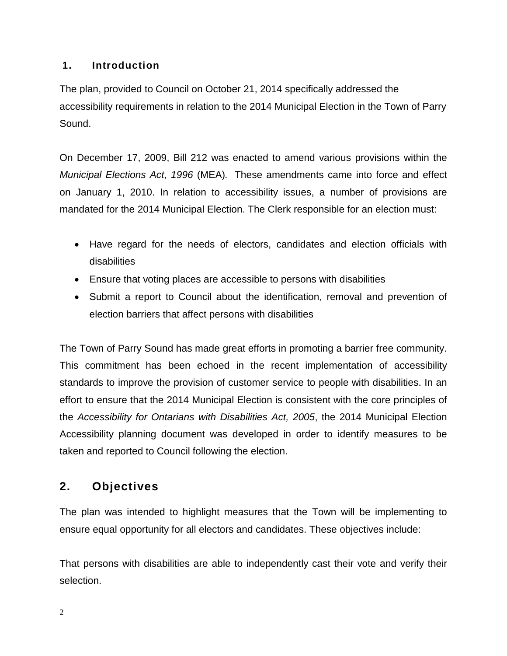## **1. Introduction**

 The plan, provided to Council on October 21, 2014 specifically addressed the accessibility requirements in relation to the 2014 Municipal Election in the Town of Parry Sound.

 On December 17, 2009, Bill 212 was enacted to amend various provisions within the *Municipal Elections Act*, *1996* (MEA)*.* These amendments came into force and effect on January 1, 2010. In relation to accessibility issues, a number of provisions are mandated for the 2014 Municipal Election. The Clerk responsible for an election must:

- Have regard for the needs of electors, candidates and election officials with disabilities
- Ensure that voting places are accessible to persons with disabilities
- Submit a report to Council about the identification, removal and prevention of election barriers that affect persons with disabilities

 effort to ensure that the 2014 Municipal Election is consistent with the core principles of  the *Accessibility for Ontarians with Disabilities Act, 2005*, the 2014 Municipal Election The Town of Parry Sound has made great efforts in promoting a barrier free community. This commitment has been echoed in the recent implementation of accessibility standards to improve the provision of customer service to people with disabilities. In an Accessibility planning document was developed in order to identify measures to be taken and reported to Council following the election.

# **2. Objectives**

The plan was intended to highlight measures that the Town will be implementing to ensure equal opportunity for all electors and candidates. These objectives include:

That persons with disabilities are able to independently cast their vote and verify their selection.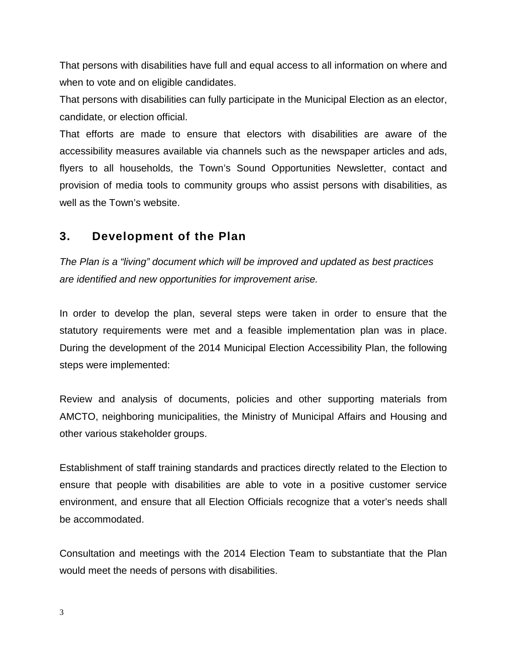That persons with disabilities have full and equal access to all information on where and when to vote and on eligible candidates.

 That persons with disabilities can fully participate in the Municipal Election as an elector, candidate, or election official.

 That efforts are made to ensure that electors with disabilities are aware of the accessibility measures available via channels such as the newspaper articles and ads, flyers to all households, the Town's Sound Opportunities Newsletter, contact and provision of media tools to community groups who assist persons with disabilities, as well as the Town's website.

# **3. Development of the Plan**

*The Plan is a "living" document which will be improved and updated as best practices are identified and new opportunities for improvement arise.* 

In order to develop the plan, several steps were taken in order to ensure that the statutory requirements were met and a feasible implementation plan was in place. During the development of the 2014 Municipal Election Accessibility Plan, the following steps were implemented:

 Review and analysis of documents, policies and other supporting materials from AMCTO, neighboring municipalities, the Ministry of Municipal Affairs and Housing and other various stakeholder groups.

Establishment of staff training standards and practices directly related to the Election to ensure that people with disabilities are able to vote in a positive customer service environment, and ensure that all Election Officials recognize that a voter's needs shall be accommodated.

Consultation and meetings with the 2014 Election Team to substantiate that the Plan would meet the needs of persons with disabilities.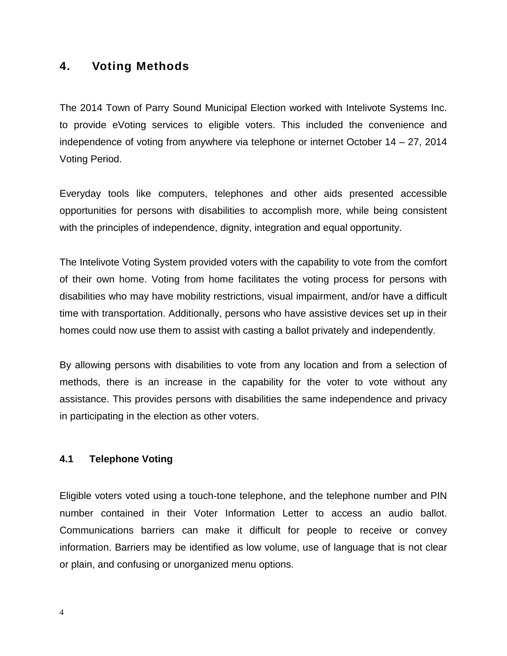## **4. Voting Methods**

The 2014 Town of Parry Sound Municipal Election worked with Intelivote Systems Inc. to provide eVoting services to eligible voters. This included the convenience and independence of voting from anywhere via telephone or internet October 14 – 27, 2014 Voting Period.

Everyday tools like computers, telephones and other aids presented accessible opportunities for persons with disabilities to accomplish more, while being consistent with the principles of independence, dignity, integration and equal opportunity.

The Intelivote Voting System provided voters with the capability to vote from the comfort of their own home. Voting from home facilitates the voting process for persons with disabilities who may have mobility restrictions, visual impairment, and/or have a difficult time with transportation. Additionally, persons who have assistive devices set up in their homes could now use them to assist with casting a ballot privately and independently.

By allowing persons with disabilities to vote from any location and from a selection of methods, there is an increase in the capability for the voter to vote without any assistance. This provides persons with disabilities the same independence and privacy in participating in the election as other voters.

## **4.1 Telephone Voting**

 Communications barriers can make it difficult for people to receive or convey information. Barriers may be identified as low volume, use of language that is not clear Eligible voters voted using a touch-tone telephone, and the telephone number and PIN number contained in their Voter Information Letter to access an audio ballot. or plain, and confusing or unorganized menu options.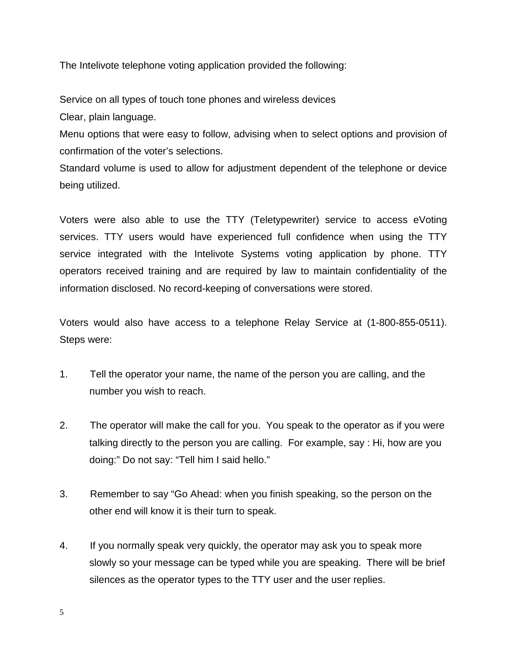The Intelivote telephone voting application provided the following:

Service on all types of touch tone phones and wireless devices Clear, plain language.

Menu options that were easy to follow, advising when to select options and provision of confirmation of the voter's selections.

 Standard volume is used to allow for adjustment dependent of the telephone or device being utilized.

 Voters were also able to use the TTY (Teletypewriter) service to access eVoting service integrated with the Intelivote Systems voting application by phone. TTY operators received training and are required by law to maintain confidentiality of the services. TTY users would have experienced full confidence when using the TTY information disclosed. No record-keeping of conversations were stored.

 Voters would also have access to a telephone Relay Service at (1-800-855-0511). Steps were:

- $1.$ Tell the operator your name, the name of the person you are calling, and the number you wish to reach.
- $2.$  talking directly to the person you are calling. For example, say : Hi, how are you The operator will make the call for you. You speak to the operator as if you were doing:" Do not say: "Tell him I said hello."
- $3<sub>1</sub>$ Remember to say "Go Ahead: when you finish speaking, so the person on the other end will know it is their turn to speak.
- 4. slowly so your message can be typed while you are speaking. There will be brief silences as the operator types to the TTY user and the user replies. If you normally speak very quickly, the operator may ask you to speak more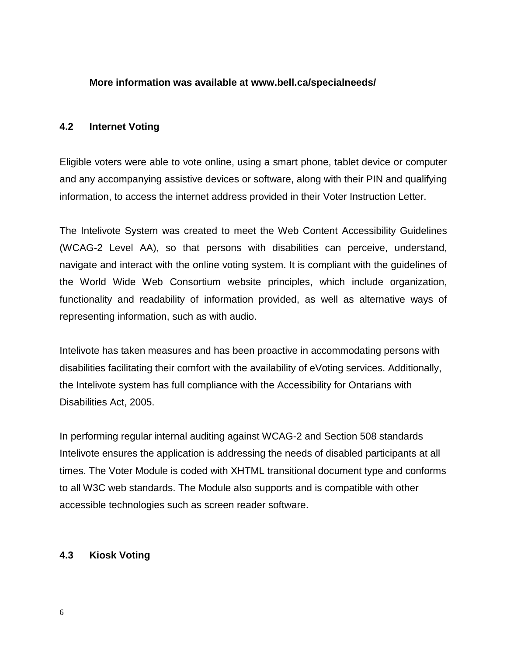#### **More information was available at [www.bell.ca/specialneeds/](http://www.bell.ca/specialneeds/)**

#### **4.2 Internet Voting**

Eligible voters were able to vote online, using a smart phone, tablet device or computer and any accompanying assistive devices or software, along with their PIN and qualifying information, to access the internet address provided in their Voter Instruction Letter.

The Intelivote System was created to meet the Web Content Accessibility Guidelines (WCAG-2 Level AA), so that persons with disabilities can perceive, understand, navigate and interact with the online voting system. It is compliant with the guidelines of the World Wide Web Consortium website principles, which include organization, functionality and readability of information provided, as well as alternative ways of representing information, such as with audio.

Intelivote has taken measures and has been proactive in accommodating persons with disabilities facilitating their comfort with the availability of eVoting services. Additionally, the Intelivote system has full compliance with the Accessibility for Ontarians with Disabilities Act, 2005.

 In performing regular internal auditing against WCAG-2 and Section 508 standards Intelivote ensures the application is addressing the needs of disabled participants at all times. The Voter Module is coded with XHTML transitional document type and conforms to all W3C web standards. The Module also supports and is compatible with other accessible technologies such as screen reader software.

#### **4.3 Kiosk Voting**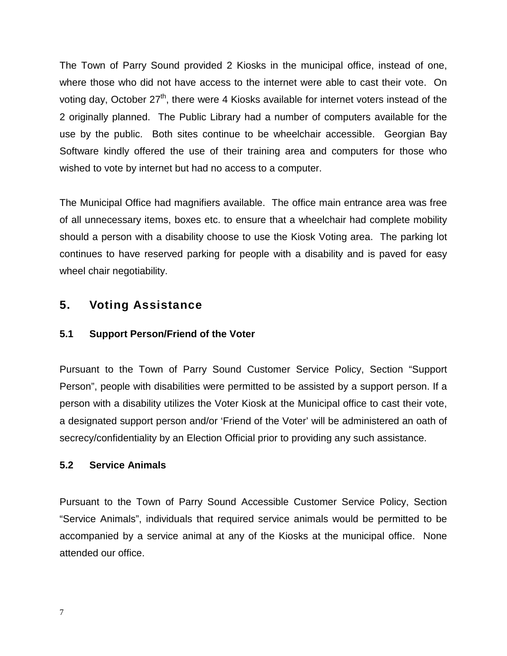where those who did not have access to the internet were able to cast their vote. On use by the public. Both sites continue to be wheelchair accessible. Georgian Bay wished to vote by internet but had no access to a computer. The Town of Parry Sound provided 2 Kiosks in the municipal office, instead of one, voting day, October  $27<sup>th</sup>$ , there were 4 Kiosks available for internet voters instead of the 2 originally planned. The Public Library had a number of computers available for the Software kindly offered the use of their training area and computers for those who

 The Municipal Office had magnifiers available. The office main entrance area was free should a person with a disability choose to use the Kiosk Voting area. The parking lot continues to have reserved parking for people with a disability and is paved for easy of all unnecessary items, boxes etc. to ensure that a wheelchair had complete mobility wheel chair negotiability.

# **5. Voting Assistance**

## **5.1 Support Person/Friend of the Voter**

 secrecy/confidentiality by an Election Official prior to providing any such assistance. Pursuant to the Town of Parry Sound Customer Service Policy, Section "Support Person", people with disabilities were permitted to be assisted by a support person. If a person with a disability utilizes the Voter Kiosk at the Municipal office to cast their vote, a designated support person and/or 'Friend of the Voter' will be administered an oath of

## **5.2 Service Animals**

 "Service Animals", individuals that required service animals would be permitted to be accompanied by a service animal at any of the Kiosks at the municipal office. None attended our office. Pursuant to the Town of Parry Sound Accessible Customer Service Policy, Section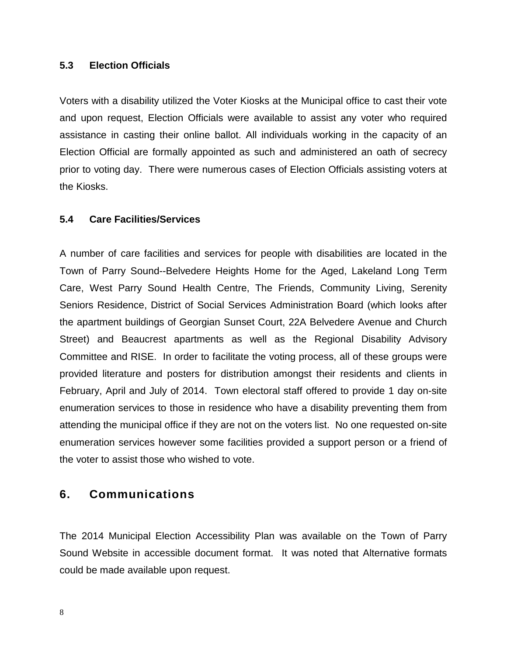#### **5.3 Election Officials**

 and upon request, Election Officials were available to assist any voter who required prior to voting day. There were numerous cases of Election Officials assisting voters at the Kiosks. Voters with a disability utilized the Voter Kiosks at the Municipal office to cast their vote assistance in casting their online ballot. All individuals working in the capacity of an Election Official are formally appointed as such and administered an oath of secrecy

#### **5.4 Care Facilities/Services**

 enumeration services to those in residence who have a disability preventing them from attending the municipal office if they are not on the voters list. No one requested on-site the voter to assist those who wished to vote. A number of care facilities and services for people with disabilities are located in the Town of Parry Sound--Belvedere Heights Home for the Aged, Lakeland Long Term Care, West Parry Sound Health Centre, The Friends, Community Living, Serenity Seniors Residence, District of Social Services Administration Board (which looks after the apartment buildings of Georgian Sunset Court, 22A Belvedere Avenue and Church Street) and Beaucrest apartments as well as the Regional Disability Advisory Committee and RISE. In order to facilitate the voting process, all of these groups were provided literature and posters for distribution amongst their residents and clients in February, April and July of 2014. Town electoral staff offered to provide 1 day on-site enumeration services however some facilities provided a support person or a friend of

## **6. Communications**

The 2014 Municipal Election Accessibility Plan was available on the Town of Parry Sound Website in accessible document format. It was noted that Alternative formats could be made available upon request.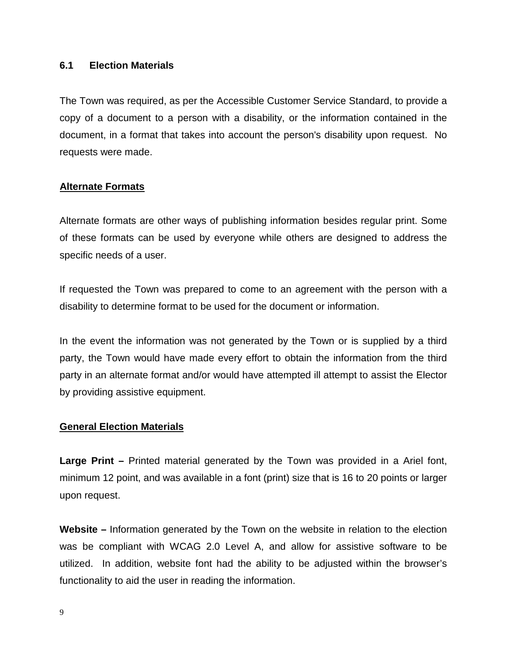#### **6.1 Election Materials**

The Town was required, as per the Accessible Customer Service Standard, to provide a copy of a document to a person with a disability, or the information contained in the document, in a format that takes into account the person's disability upon request. No requests were made.

### **Alternate Formats**

Alternate formats are other ways of publishing information besides regular print. Some of these formats can be used by everyone while others are designed to address the specific needs of a user.

If requested the Town was prepared to come to an agreement with the person with a disability to determine format to be used for the document or information.

 party, the Town would have made every effort to obtain the information from the third In the event the information was not generated by the Town or is supplied by a third party in an alternate format and/or would have attempted ill attempt to assist the Elector by providing assistive equipment.

#### **General Election Materials**

 minimum 12 point, and was available in a font (print) size that is 16 to 20 points or larger **Large Print –** Printed material generated by the Town was provided in a Ariel font, upon request.

**Website –** Information generated by the Town on the website in relation to the election was be compliant with WCAG 2.0 Level A, and allow for assistive software to be utilized. In addition, website font had the ability to be adjusted within the browser's functionality to aid the user in reading the information.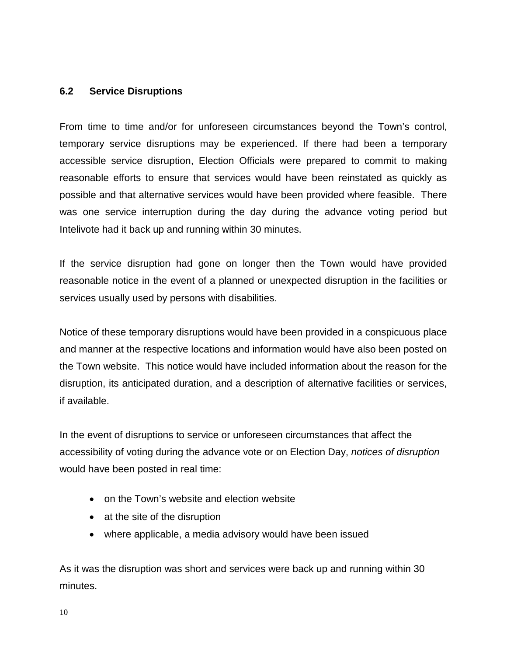#### **6.2 Service Disruptions**

 possible and that alternative services would have been provided where feasible. There From time to time and/or for unforeseen circumstances beyond the Town's control, temporary service disruptions may be experienced. If there had been a temporary accessible service disruption, Election Officials were prepared to commit to making reasonable efforts to ensure that services would have been reinstated as quickly as was one service interruption during the day during the advance voting period but Intelivote had it back up and running within 30 minutes.

If the service disruption had gone on longer then the Town would have provided reasonable notice in the event of a planned or unexpected disruption in the facilities or services usually used by persons with disabilities.

 the Town website. This notice would have included information about the reason for the if available. Notice of these temporary disruptions would have been provided in a conspicuous place and manner at the respective locations and information would have also been posted on disruption, its anticipated duration, and a description of alternative facilities or services,

 would have been posted in real time: In the event of disruptions to service or unforeseen circumstances that affect the accessibility of voting during the advance vote or on Election Day, *notices of disruption* 

- on the Town's website and election website
- at the site of the disruption
- where applicable, a media advisory would have been issued

As it was the disruption was short and services were back up and running within 30 minutes.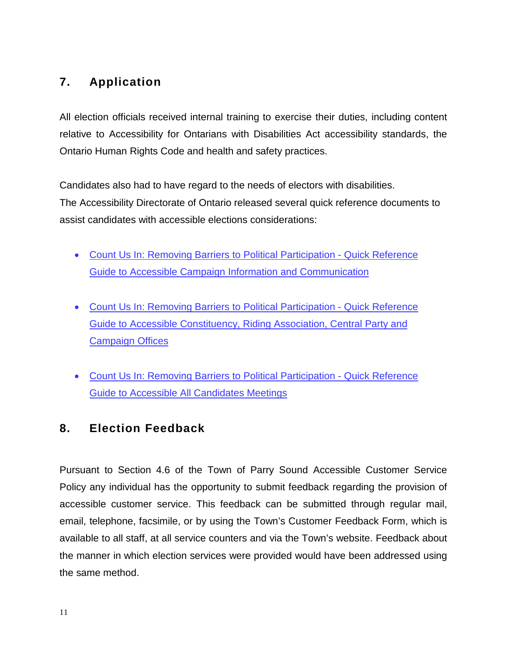# **7. Application**

 Ontario Human Rights Code and health and safety practices. All election officials received internal training to exercise their duties, including content relative to Accessibility for Ontarians with Disabilities Act accessibility standards, the

Candidates also had to have regard to the needs of electors with disabilities. The Accessibility Directorate of Ontario released several quick reference documents to assist candidates with accessible elections considerations:

- [Guide to Accessible Campaign Information and Communication](http://www.mcss.gov.on.ca/documents/en/mcss/publications/accessibility/Quickreferenceguidetoaccessiblecampaigninformation.pdf) • [Count Us In: Removing Barriers to Political Participation -](http://www.mcss.gov.on.ca/documents/en/mcss/publications/accessibility/Quickreferenceguidetoaccessiblecampaigninformation.pdf) Quick Reference
- [Count Us In: Removing Barriers to Political Participation -](http://www.mcss.gov.on.ca/en/mcss/programs/accessibility/understanding_accessibility/documents/ACCESSIBLEOFFICES.pdf) Quick Reference [Guide to Accessible Constituency, Riding Association, Central Party and](http://www.mcss.gov.on.ca/en/mcss/programs/accessibility/understanding_accessibility/documents/ACCESSIBLEOFFICES.pdf)  [Campaign Offices](http://www.mcss.gov.on.ca/en/mcss/programs/accessibility/understanding_accessibility/documents/ACCESSIBLEOFFICES.pdf)
- [Count Us In: Removing Barriers to Political Participation -](http://www.mcss.gov.on.ca/en/mcss/programs/accessibility/understanding_accessibility/documents/Quickreferenceguidetoaccessibleallcandidatesmeetin.pdf) Quick Reference [Guide to Accessible All Candidates Meetings](http://www.mcss.gov.on.ca/en/mcss/programs/accessibility/understanding_accessibility/documents/Quickreferenceguidetoaccessibleallcandidatesmeetin.pdf)

# **8. Election Feedback**

 accessible customer service. This feedback can be submitted through regular mail, available to all staff, at all service counters and via the Town's website. Feedback about Pursuant to Section 4.6 of the Town of Parry Sound Accessible Customer Service Policy any individual has the opportunity to submit feedback regarding the provision of email, telephone, facsimile, or by using the Town's Customer Feedback Form, which is the manner in which election services were provided would have been addressed using the same method.